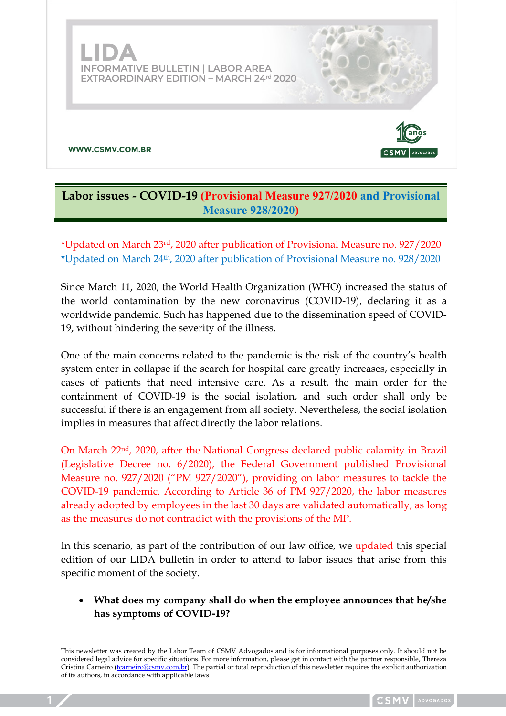

# **Labor issues - COVID-19 (Provisional Measure 927/2020 and Provisional Measure 928/2020)**

\*Updated on March 23rd, 2020 after publication of Provisional Measure no. 927/2020 \*Updated on March 24th, 2020 after publication of Provisional Measure no. 928/2020

Since March 11, 2020, the World Health Organization (WHO) increased the status of the world contamination by the new coronavirus (COVID-19), declaring it as a worldwide pandemic. Such has happened due to the dissemination speed of COVID-19, without hindering the severity of the illness.

One of the main concerns related to the pandemic is the risk of the country's health system enter in collapse if the search for hospital care greatly increases, especially in cases of patients that need intensive care. As a result, the main order for the containment of COVID-19 is the social isolation, and such order shall only be successful if there is an engagement from all society. Nevertheless, the social isolation implies in measures that affect directly the labor relations.

On March 22nd, 2020, after the National Congress declared public calamity in Brazil (Legislative Decree no. 6/2020), the Federal Government published Provisional Measure no. 927/2020 ("PM 927/2020"), providing on labor measures to tackle the COVID-19 pandemic. According to Article 36 of PM 927/2020, the labor measures already adopted by employees in the last 30 days are validated automatically, as long as the measures do not contradict with the provisions of the MP.

In this scenario, as part of the contribution of our law office, we updated this special edition of our LIDA bulletin in order to attend to labor issues that arise from this specific moment of the society.

• **What does my company shall do when the employee announces that he/she has symptoms of COVID-19?**

This newsletter was created by the Labor Team of CSMV Advogados and is for informational purposes only. It should not be considered legal advice for specific situations. For more information, please get in contact with the partner responsible, Thereza Cristina Carneiro (*tcarneiro@csmv.com.br*). The partial or total reproduction of this newsletter requires the explicit authorization of its authors, in accordance with applicable laws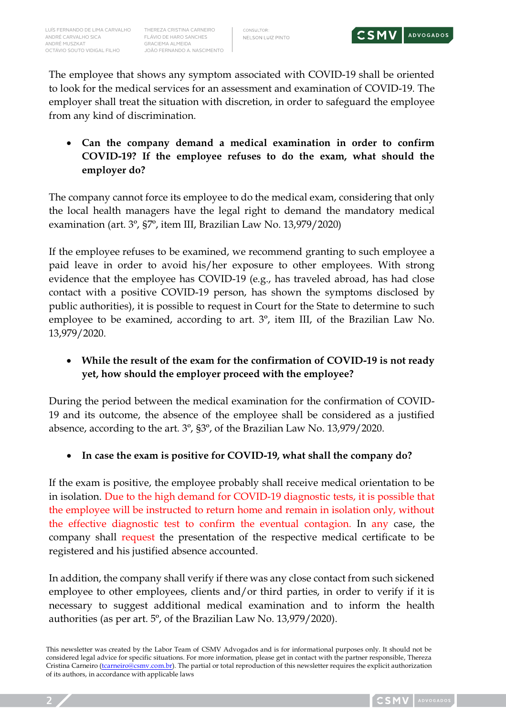

The employee that shows any symptom associated with COVID-19 shall be oriented to look for the medical services for an assessment and examination of COVID-19. The employer shall treat the situation with discretion, in order to safeguard the employee from any kind of discrimination.

• **Can the company demand a medical examination in order to confirm COVID-19? If the employee refuses to do the exam, what should the employer do?**

The company cannot force its employee to do the medical exam, considering that only the local health managers have the legal right to demand the mandatory medical examination (art. 3º, §7º, item III, Brazilian Law No. 13,979/2020)

If the employee refuses to be examined, we recommend granting to such employee a paid leave in order to avoid his/her exposure to other employees. With strong evidence that the employee has COVID-19 (e.g., has traveled abroad, has had close contact with a positive COVID-19 person, has shown the symptoms disclosed by public authorities), it is possible to request in Court for the State to determine to such employee to be examined, according to art. 3º, item III, of the Brazilian Law No. 13,979/2020.

# • **While the result of the exam for the confirmation of COVID-19 is not ready yet, how should the employer proceed with the employee?**

During the period between the medical examination for the confirmation of COVID-19 and its outcome, the absence of the employee shall be considered as a justified absence, according to the art. 3º, §3º, of the Brazilian Law No. 13,979/2020.

• **In case the exam is positive for COVID-19, what shall the company do?**

If the exam is positive, the employee probably shall receive medical orientation to be in isolation. Due to the high demand for COVID-19 diagnostic tests, it is possible that the employee will be instructed to return home and remain in isolation only, without the effective diagnostic test to confirm the eventual contagion. In any case, the company shall request the presentation of the respective medical certificate to be registered and his justified absence accounted.

In addition, the company shall verify if there was any close contact from such sickened employee to other employees, clients and/or third parties, in order to verify if it is necessary to suggest additional medical examination and to inform the health authorities (as per art. 5º, of the Brazilian Law No. 13,979/2020).

This newsletter was created by the Labor Team of CSMV Advogados and is for informational purposes only. It should not be considered legal advice for specific situations. For more information, please get in contact with the partner responsible, Thereza Cristina Carneiro (*tcarneiro@csmv.com.br*). The partial or total reproduction of this newsletter requires the explicit authorization of its authors, in accordance with applicable laws

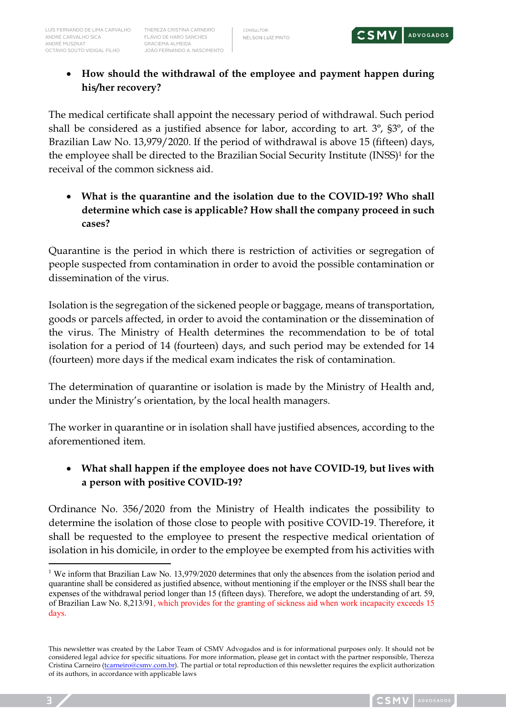

# • **How should the withdrawal of the employee and payment happen during his/her recovery?**

The medical certificate shall appoint the necessary period of withdrawal. Such period shall be considered as a justified absence for labor, according to art. 3º, §3º, of the Brazilian Law No. 13,979/2020. If the period of withdrawal is above 15 (fifteen) days, the employee shall be directed to the Brazilian Social Security Institute (INSS)1 for the receival of the common sickness aid.

• **What is the quarantine and the isolation due to the COVID-19? Who shall determine which case is applicable? How shall the company proceed in such cases?**

Quarantine is the period in which there is restriction of activities or segregation of people suspected from contamination in order to avoid the possible contamination or dissemination of the virus.

Isolation is the segregation of the sickened people or baggage, means of transportation, goods or parcels affected, in order to avoid the contamination or the dissemination of the virus. The Ministry of Health determines the recommendation to be of total isolation for a period of 14 (fourteen) days, and such period may be extended for 14 (fourteen) more days if the medical exam indicates the risk of contamination.

The determination of quarantine or isolation is made by the Ministry of Health and, under the Ministry's orientation, by the local health managers.

The worker in quarantine or in isolation shall have justified absences, according to the aforementioned item.

### • **What shall happen if the employee does not have COVID-19, but lives with a person with positive COVID-19?**

Ordinance No. 356/2020 from the Ministry of Health indicates the possibility to determine the isolation of those close to people with positive COVID-19. Therefore, it shall be requested to the employee to present the respective medical orientation of isolation in his domicile, in order to the employee be exempted from his activities with

<sup>&</sup>lt;sup>1</sup> We inform that Brazilian Law No. 13,979/2020 determines that only the absences from the isolation period and quarantine shall be considered as justified absence, without mentioning if the employer or the INSS shall bear the expenses of the withdrawal period longer than 15 (fifteen days). Therefore, we adopt the understanding of art. 59, of Brazilian Law No. 8,213/91, which provides for the granting of sickness aid when work incapacity exceeds 15 days.

This newsletter was created by the Labor Team of CSMV Advogados and is for informational purposes only. It should not be considered legal advice for specific situations. For more information, please get in contact with the partner responsible, Thereza Cristina Carneiro (*tcarneiro@csmv.com.br*). The partial or total reproduction of this newsletter requires the explicit authorization of its authors, in accordance with applicable laws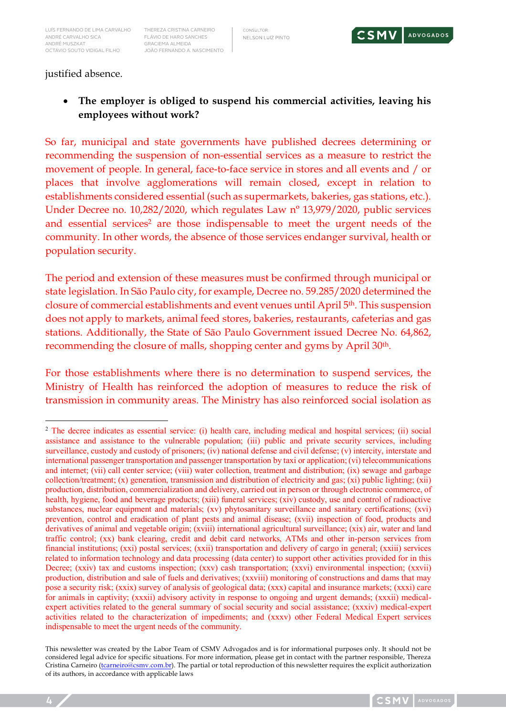THEREZA CRISTINA CARNEIRO FLÁVIO DE HARO SANCHES GRACIEMA ALMEIDA JOÃO FERNANDO A. NASCIMENTO CONSULTOR: NELSON LUIZ PINTO



justified absence.

• **The employer is obliged to suspend his commercial activities, leaving his employees without work?**

So far, municipal and state governments have published decrees determining or recommending the suspension of non-essential services as a measure to restrict the movement of people. In general, face-to-face service in stores and all events and / or places that involve agglomerations will remain closed, except in relation to establishments considered essential (such as supermarkets, bakeries, gas stations, etc.). Under Decree no. 10,282/2020, which regulates Law nº 13,979/2020, public services and essential services<sup>2</sup> are those indispensable to meet the urgent needs of the community. In other words, the absence of those services endanger survival, health or population security.

The period and extension of these measures must be confirmed through municipal or state legislation. In São Paulo city, for example, Decree no. 59.285/2020 determined the closure of commercial establishments and event venues until April 5th. This suspension does not apply to markets, animal feed stores, bakeries, restaurants, cafeterias and gas stations. Additionally, the State of São Paulo Government issued Decree No. 64,862, recommending the closure of malls, shopping center and gyms by April 30<sup>th</sup>.

For those establishments where there is no determination to suspend services, the Ministry of Health has reinforced the adoption of measures to reduce the risk of transmission in community areas. The Ministry has also reinforced social isolation as

<sup>&</sup>lt;sup>2</sup> The decree indicates as essential service: (i) health care, including medical and hospital services; (ii) social assistance and assistance to the vulnerable population; (iii) public and private security services, including surveillance, custody and custody of prisoners; (iv) national defense and civil defense; (v) intercity, interstate and international passenger transportation and passenger transportation by taxi or application; (vi) telecommunications and internet; (vii) call center service; (viii) water collection, treatment and distribution; (ix) sewage and garbage collection/treatment; (x) generation, transmission and distribution of electricity and gas; (xi) public lighting; (xii) production, distribution, commercialization and delivery, carried out in person or through electronic commerce, of health, hygiene, food and beverage products; (xiii) funeral services; (xiv) custody, use and control of radioactive substances, nuclear equipment and materials; (xv) phytosanitary surveillance and sanitary certifications; (xvi) prevention, control and eradication of plant pests and animal disease; (xvii) inspection of food, products and derivatives of animal and vegetable origin; (xviii) international agricultural surveillance; (xix) air, water and land traffic control; (xx) bank clearing, credit and debit card networks, ATMs and other in-person services from financial institutions; (xxi) postal services; (xxii) transportation and delivery of cargo in general; (xxiii) services related to information technology and data processing (data center) to support other activities provided for in this Decree; (xxiv) tax and customs inspection; (xxv) cash transportation; (xxvi) environmental inspection; (xxvii) production, distribution and sale of fuels and derivatives; (xxviii) monitoring of constructions and dams that may pose a security risk; (xxix) survey of analysis of geological data; (xxx) capital and insurance markets; (xxxi) care for animals in captivity; (xxxii) advisory activity in response to ongoing and urgent demands; (xxxii) medicalexpert activities related to the general summary of social security and social assistance; (xxxiv) medical-expert activities related to the characterization of impediments; and (xxxv) other Federal Medical Expert services indispensable to meet the urgent needs of the community.

This newsletter was created by the Labor Team of CSMV Advogados and is for informational purposes only. It should not be considered legal advice for specific situations. For more information, please get in contact with the partner responsible, Thereza Cristina Carneiro (*tcarneiro@csmv.com.br*). The partial or total reproduction of this newsletter requires the explicit authorization of its authors, in accordance with applicable laws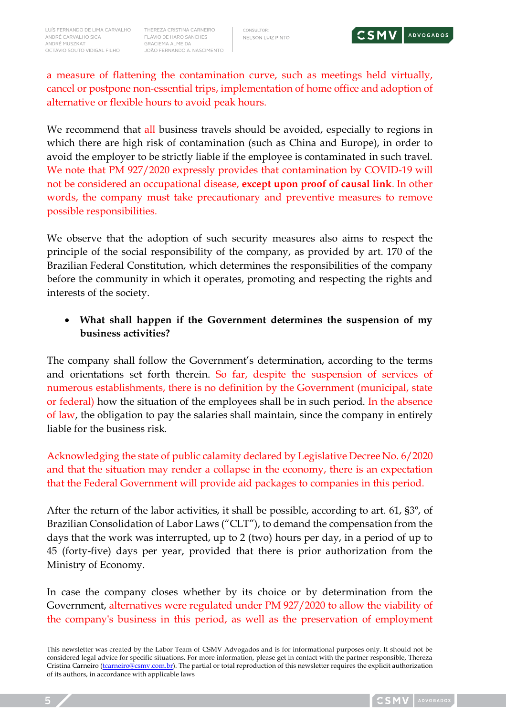

a measure of flattening the contamination curve, such as meetings held virtually, cancel or postpone non-essential trips, implementation of home office and adoption of alternative or flexible hours to avoid peak hours.

We recommend that all business travels should be avoided, especially to regions in which there are high risk of contamination (such as China and Europe), in order to avoid the employer to be strictly liable if the employee is contaminated in such travel. We note that PM 927/2020 expressly provides that contamination by COVID-19 will not be considered an occupational disease, **except upon proof of causal link**. In other words, the company must take precautionary and preventive measures to remove possible responsibilities.

We observe that the adoption of such security measures also aims to respect the principle of the social responsibility of the company, as provided by art. 170 of the Brazilian Federal Constitution, which determines the responsibilities of the company before the community in which it operates, promoting and respecting the rights and interests of the society.

#### • **What shall happen if the Government determines the suspension of my business activities?**

The company shall follow the Government's determination, according to the terms and orientations set forth therein. So far, despite the suspension of services of numerous establishments, there is no definition by the Government (municipal, state or federal) how the situation of the employees shall be in such period. In the absence of law, the obligation to pay the salaries shall maintain, since the company in entirely liable for the business risk.

Acknowledging the state of public calamity declared by Legislative Decree No. 6/2020 and that the situation may render a collapse in the economy, there is an expectation that the Federal Government will provide aid packages to companies in this period.

After the return of the labor activities, it shall be possible, according to art. 61, §3º, of Brazilian Consolidation of Labor Laws ("CLT"), to demand the compensation from the days that the work was interrupted, up to 2 (two) hours per day, in a period of up to 45 (forty-five) days per year, provided that there is prior authorization from the Ministry of Economy.

In case the company closes whether by its choice or by determination from the Government, alternatives were regulated under PM 927/2020 to allow the viability of the company's business in this period, as well as the preservation of employment

This newsletter was created by the Labor Team of CSMV Advogados and is for informational purposes only. It should not be considered legal advice for specific situations. For more information, please get in contact with the partner responsible, Thereza Cristina Carneiro (*tcarneiro@csmv.com.br*). The partial or total reproduction of this newsletter requires the explicit authorization of its authors, in accordance with applicable laws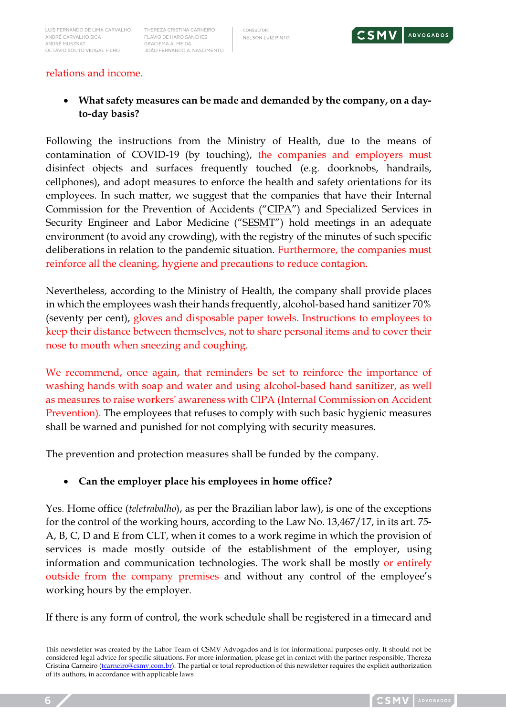CONSULTOR: NELSON LUIZ PINTO



#### relations and income.

• **What safety measures can be made and demanded by the company, on a dayto-day basis?**

Following the instructions from the Ministry of Health, due to the means of contamination of COVID-19 (by touching), the companies and employers must disinfect objects and surfaces frequently touched (e.g. doorknobs, handrails, cellphones), and adopt measures to enforce the health and safety orientations for its employees. In such matter, we suggest that the companies that have their Internal Commission for the Prevention of Accidents ("CIPA") and Specialized Services in Security Engineer and Labor Medicine ("SESMT") hold meetings in an adequate environment (to avoid any crowding), with the registry of the minutes of such specific deliberations in relation to the pandemic situation. Furthermore, the companies must reinforce all the cleaning, hygiene and precautions to reduce contagion.

Nevertheless, according to the Ministry of Health, the company shall provide places in which the employees wash their hands frequently, alcohol-based hand sanitizer 70% (seventy per cent), gloves and disposable paper towels. Instructions to employees to keep their distance between themselves, not to share personal items and to cover their nose to mouth when sneezing and coughing.

We recommend, once again, that reminders be set to reinforce the importance of washing hands with soap and water and using alcohol-based hand sanitizer, as well as measures to raise workers' awareness with CIPA (Internal Commission on Accident Prevention). The employees that refuses to comply with such basic hygienic measures shall be warned and punished for not complying with security measures.

The prevention and protection measures shall be funded by the company.

#### • **Can the employer place his employees in home office?**

Yes. Home office (*teletrabalho*), as per the Brazilian labor law), is one of the exceptions for the control of the working hours, according to the Law No. 13,467/17, in its art. 75- A, B, C, D and E from CLT, when it comes to a work regime in which the provision of services is made mostly outside of the establishment of the employer, using information and communication technologies. The work shall be mostly or entirely outside from the company premises and without any control of the employee's working hours by the employer.

If there is any form of control, the work schedule shall be registered in a timecard and

This newsletter was created by the Labor Team of CSMV Advogados and is for informational purposes only. It should not be considered legal advice for specific situations. For more information, please get in contact with the partner responsible, Thereza Cristina Carneiro (*tcarneiro@csmv.com.br*). The partial or total reproduction of this newsletter requires the explicit authorization of its authors, in accordance with applicable laws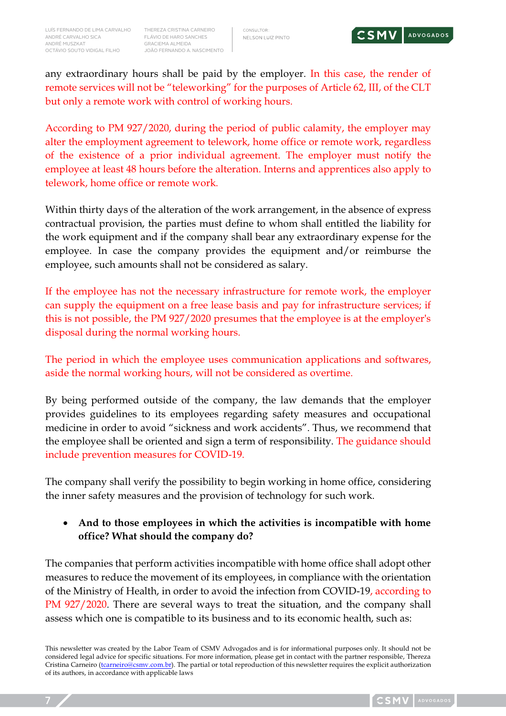FLÁVIO DE HARO SANCHES GRACIEMA ALMEIDA JOÃO FERNANDO A. NASCIMENTO



any extraordinary hours shall be paid by the employer. In this case, the render of remote services will not be "teleworking" for the purposes of Article 62, III, of the CLT but only a remote work with control of working hours.

According to PM 927/2020, during the period of public calamity, the employer may alter the employment agreement to telework, home office or remote work, regardless of the existence of a prior individual agreement. The employer must notify the employee at least 48 hours before the alteration. Interns and apprentices also apply to telework, home office or remote work.

Within thirty days of the alteration of the work arrangement, in the absence of express contractual provision, the parties must define to whom shall entitled the liability for the work equipment and if the company shall bear any extraordinary expense for the employee. In case the company provides the equipment and/or reimburse the employee, such amounts shall not be considered as salary.

If the employee has not the necessary infrastructure for remote work, the employer can supply the equipment on a free lease basis and pay for infrastructure services; if this is not possible, the PM 927/2020 presumes that the employee is at the employer's disposal during the normal working hours.

The period in which the employee uses communication applications and softwares, aside the normal working hours, will not be considered as overtime.

By being performed outside of the company, the law demands that the employer provides guidelines to its employees regarding safety measures and occupational medicine in order to avoid "sickness and work accidents". Thus, we recommend that the employee shall be oriented and sign a term of responsibility. The guidance should include prevention measures for COVID-19.

The company shall verify the possibility to begin working in home office, considering the inner safety measures and the provision of technology for such work.

• **And to those employees in which the activities is incompatible with home office? What should the company do?**

The companies that perform activities incompatible with home office shall adopt other measures to reduce the movement of its employees, in compliance with the orientation of the Ministry of Health, in order to avoid the infection from COVID-19, according to PM 927/2020. There are several ways to treat the situation, and the company shall assess which one is compatible to its business and to its economic health, such as:

This newsletter was created by the Labor Team of CSMV Advogados and is for informational purposes only. It should not be considered legal advice for specific situations. For more information, please get in contact with the partner responsible, Thereza Cristina Carneiro (*tcarneiro@csmv.com.br*). The partial or total reproduction of this newsletter requires the explicit authorization of its authors, in accordance with applicable laws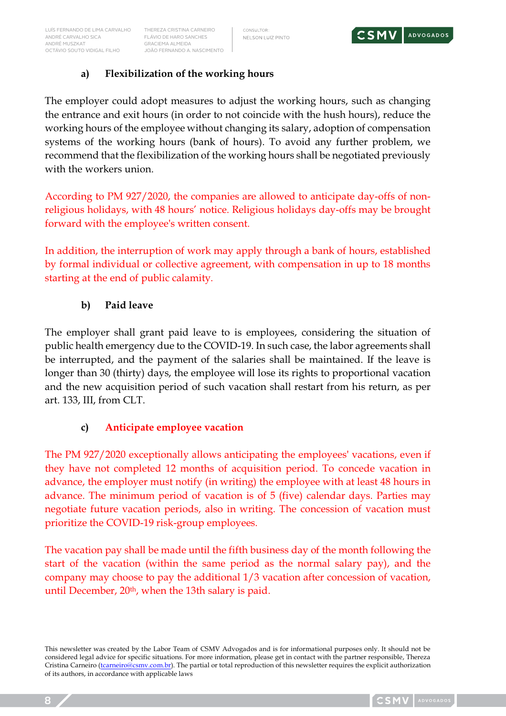

### **a) Flexibilization of the working hours**

The employer could adopt measures to adjust the working hours, such as changing the entrance and exit hours (in order to not coincide with the hush hours), reduce the working hours of the employee without changing its salary, adoption of compensation systems of the working hours (bank of hours). To avoid any further problem, we recommend that the flexibilization of the working hours shall be negotiated previously with the workers union.

According to PM 927/2020, the companies are allowed to anticipate day-offs of nonreligious holidays, with 48 hours' notice. Religious holidays day-offs may be brought forward with the employee's written consent.

In addition, the interruption of work may apply through a bank of hours, established by formal individual or collective agreement, with compensation in up to 18 months starting at the end of public calamity.

### **b) Paid leave**

The employer shall grant paid leave to is employees, considering the situation of public health emergency due to the COVID-19. In such case, the labor agreements shall be interrupted, and the payment of the salaries shall be maintained. If the leave is longer than 30 (thirty) days, the employee will lose its rights to proportional vacation and the new acquisition period of such vacation shall restart from his return, as per art. 133, III, from CLT.

# **c) Anticipate employee vacation**

The PM 927/2020 exceptionally allows anticipating the employees' vacations, even if they have not completed 12 months of acquisition period. To concede vacation in advance, the employer must notify (in writing) the employee with at least 48 hours in advance. The minimum period of vacation is of 5 (five) calendar days. Parties may negotiate future vacation periods, also in writing. The concession of vacation must prioritize the COVID-19 risk-group employees.

The vacation pay shall be made until the fifth business day of the month following the start of the vacation (within the same period as the normal salary pay), and the company may choose to pay the additional 1/3 vacation after concession of vacation, until December,  $20<sup>th</sup>$ , when the 13th salary is paid.

This newsletter was created by the Labor Team of CSMV Advogados and is for informational purposes only. It should not be considered legal advice for specific situations. For more information, please get in contact with the partner responsible, Thereza Cristina Carneiro (*tcarneiro@csmv.com.br*). The partial or total reproduction of this newsletter requires the explicit authorization of its authors, in accordance with applicable laws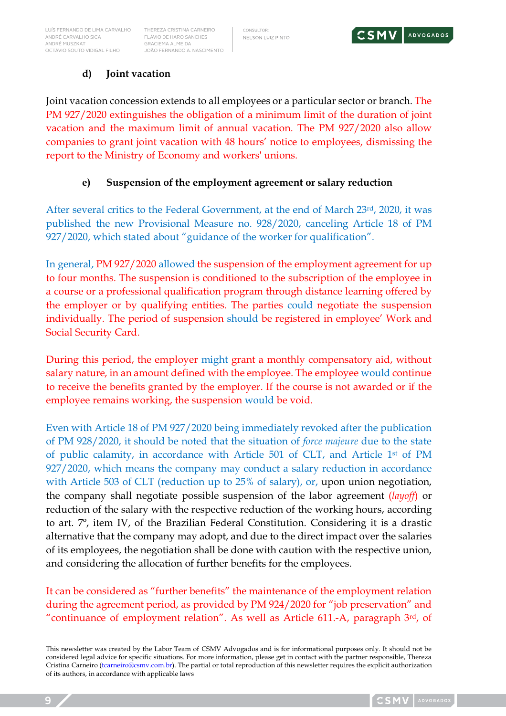THEREZA CRISTINA CARNEIRO FLÁVIO DE HARO SANCHES GRACIEMA ALMEIDA JOÃO FERNANDO A. NASCIMENTO

### **d) Joint vacation**

Joint vacation concession extends to all employees or a particular sector or branch. The PM 927/2020 extinguishes the obligation of a minimum limit of the duration of joint vacation and the maximum limit of annual vacation. The PM 927/2020 also allow companies to grant joint vacation with 48 hours' notice to employees, dismissing the report to the Ministry of Economy and workers' unions.

#### **e) Suspension of the employment agreement or salary reduction**

After several critics to the Federal Government, at the end of March 23rd, 2020, it was published the new Provisional Measure no. 928/2020, canceling Article 18 of PM 927/2020, which stated about "guidance of the worker for qualification".

In general, PM 927/2020 allowed the suspension of the employment agreement for up to four months. The suspension is conditioned to the subscription of the employee in a course or a professional qualification program through distance learning offered by the employer or by qualifying entities. The parties could negotiate the suspension individually. The period of suspension should be registered in employee' Work and Social Security Card.

During this period, the employer might grant a monthly compensatory aid, without salary nature, in an amount defined with the employee. The employee would continue to receive the benefits granted by the employer. If the course is not awarded or if the employee remains working, the suspension would be void.

Even with Article 18 of PM 927/2020 being immediately revoked after the publication of PM 928/2020, it should be noted that the situation of *force majeure* due to the state of public calamity, in accordance with Article 501 of CLT, and Article 1st of PM 927/2020, which means the company may conduct a salary reduction in accordance with Article 503 of CLT (reduction up to 25% of salary), or, upon union negotiation, the company shall negotiate possible suspension of the labor agreement (*layoff*) or reduction of the salary with the respective reduction of the working hours, according to art. 7º, item IV, of the Brazilian Federal Constitution. Considering it is a drastic alternative that the company may adopt, and due to the direct impact over the salaries of its employees, the negotiation shall be done with caution with the respective union, and considering the allocation of further benefits for the employees.

It can be considered as "further benefits" the maintenance of the employment relation during the agreement period, as provided by PM 924/2020 for "job preservation" and "continuance of employment relation". As well as Article 611.-A, paragraph 3rd, of

This newsletter was created by the Labor Team of CSMV Advogados and is for informational purposes only. It should not be considered legal advice for specific situations. For more information, please get in contact with the partner responsible, Thereza Cristina Carneiro (*tcarneiro@csmv.com.br*). The partial or total reproduction of this newsletter requires the explicit authorization of its authors, in accordance with applicable laws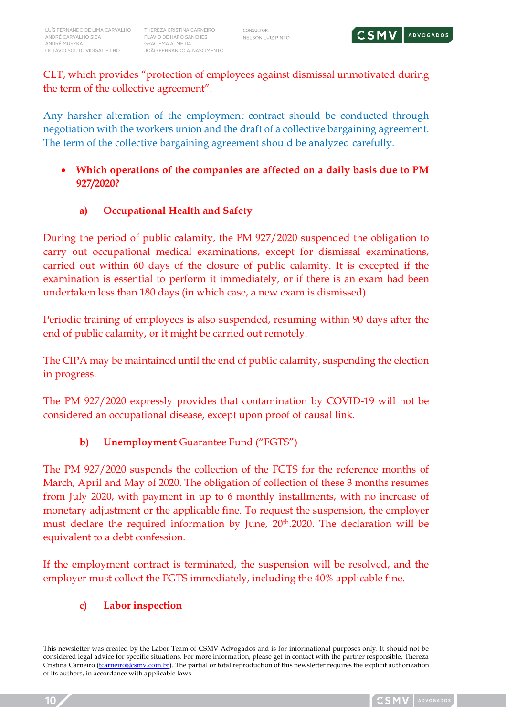CLT, which provides "protection of employees against dismissal unmotivated during the term of the collective agreement".

Any harsher alteration of the employment contract should be conducted through negotiation with the workers union and the draft of a collective bargaining agreement. The term of the collective bargaining agreement should be analyzed carefully.

### • **Which operations of the companies are affected on a daily basis due to PM 927/2020?**

# **a) Occupational Health and Safety**

During the period of public calamity, the PM 927/2020 suspended the obligation to carry out occupational medical examinations, except for dismissal examinations, carried out within 60 days of the closure of public calamity. It is excepted if the examination is essential to perform it immediately, or if there is an exam had been undertaken less than 180 days (in which case, a new exam is dismissed).

Periodic training of employees is also suspended, resuming within 90 days after the end of public calamity, or it might be carried out remotely.

The CIPA may be maintained until the end of public calamity, suspending the election in progress.

The PM 927/2020 expressly provides that contamination by COVID-19 will not be considered an occupational disease, except upon proof of causal link.

# **b) Unemployment** Guarantee Fund ("FGTS")

The PM 927/2020 suspends the collection of the FGTS for the reference months of March, April and May of 2020. The obligation of collection of these 3 months resumes from July 2020, with payment in up to 6 monthly installments, with no increase of monetary adjustment or the applicable fine. To request the suspension, the employer must declare the required information by June,  $20<sup>th</sup>$ .2020. The declaration will be equivalent to a debt confession.

If the employment contract is terminated, the suspension will be resolved, and the employer must collect the FGTS immediately, including the 40% applicable fine.

#### **c) Labor inspection**

This newsletter was created by the Labor Team of CSMV Advogados and is for informational purposes only. It should not be considered legal advice for specific situations. For more information, please get in contact with the partner responsible, Thereza Cristina Carneiro (*tcarneiro@csmv.com.br*). The partial or total reproduction of this newsletter requires the explicit authorization of its authors, in accordance with applicable laws